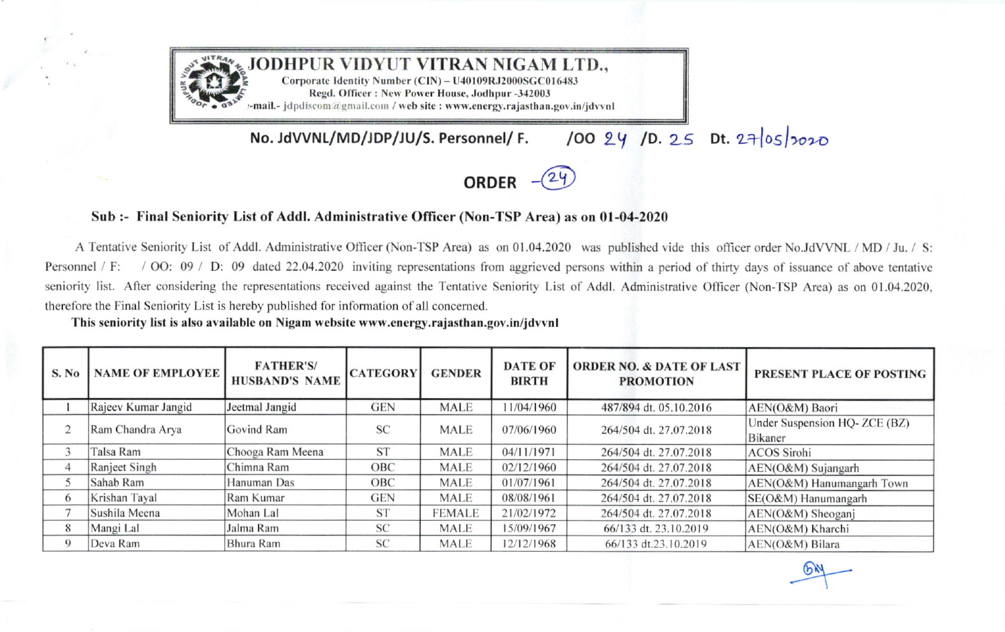

100 24 /D. 25 Dt. 27/05/2020 No. JdVVNL/MD/JDP/JU/S. Personnel/ F.



## Sub :- Final Seniority List of Addl. Administrative Officer (Non-TSP Area) as on 01-04-2020

A Tentative Seniority List of Addl. Administrative Officer (Non-TSP Area) as on 01.04.2020 was published vide this officer order No.JdVVNL / MD / Ju. / S: / OO: 09 / D: 09 dated 22.04.2020 inviting representations from aggrieved persons within a period of thirty days of issuance of above tentative Personnel / F: seniority list. After considering the representations received against the Tentative Seniority List of Addl. Administrative Officer (Non-TSP Area) as on 01.04.2020, therefore the Final Seniority List is hereby published for information of all concerned.

This seniority list is also available on Nigam website www.energy.rajasthan.gov.in/jdvvnl

| S. No    | <b>NAME OF EMPLOYEE</b> | <b>FATHER'S/</b><br><b>HUSBAND'S NAME</b> | <b>CATEGORY</b> | <b>GENDER</b> | <b>DATE OF</b><br><b>BIRTH</b> | <b>ORDER NO. &amp; DATE OF LAST</b><br><b>PROMOTION</b> | <b>PRESENT PLACE OF POSTING</b>         |
|----------|-------------------------|-------------------------------------------|-----------------|---------------|--------------------------------|---------------------------------------------------------|-----------------------------------------|
|          | Rajeev Kumar Jangid     | Jeetmal Jangid                            | <b>GEN</b>      | <b>MALE</b>   | 11/04/1960                     | 487/894 dt. 05.10.2016                                  | AEN(O&M) Baori                          |
|          | Ram Chandra Arya        | Govind Ram                                | <b>SC</b>       | <b>MALE</b>   | 07/06/1960                     | 264/504 dt. 27.07.2018                                  | Under Suspension HQ-ZCE (BZ)<br>Bikaner |
|          | Talsa Ram               | Chooga Ram Meena                          | <b>ST</b>       | <b>MALE</b>   | 04/11/1971                     | 264/504 dt. 27.07.2018                                  | <b>ACOS</b> Sirohi                      |
|          | Ranjeet Singh           | Chimna Ram                                | OBC             | <b>MALE</b>   | 02/12/1960                     | 264/504 dt. 27.07.2018                                  | AEN(O&M) Sujangarh                      |
|          | Sahab Ram               | Hanuman Das                               | OBC             | <b>MALE</b>   | 01/07/1961                     | 264/504 dt. 27.07.2018                                  | AEN(O&M) Hanumangarh Town               |
| 6        | Krishan Tayal           | Ram Kumar                                 | <b>GEN</b>      | <b>MALE</b>   | 08/08/1961                     | 264/504 dt. 27.07.2018                                  | SE(O&M) Hanumangarh                     |
|          | Sushila Meena           | Mohan Lal                                 | <b>ST</b>       | <b>FEMALE</b> | 21/02/1972                     | 264/504 dt. 27.07.2018                                  | AEN(O&M) Sheoganj                       |
| 8        | Mangi Lal               | Jalma Ram                                 | <b>SC</b>       | <b>MALE</b>   | 15/09/1967                     | 66/133 dt. 23.10.2019                                   | AEN(O&M) Kharchi                        |
| $\Omega$ | Deva Ram                | Bhura Ram                                 | <b>SC</b>       | <b>MALE</b>   | 12/12/1968                     | 66/133 dt.23.10.2019                                    | AEN(O&M) Bilara                         |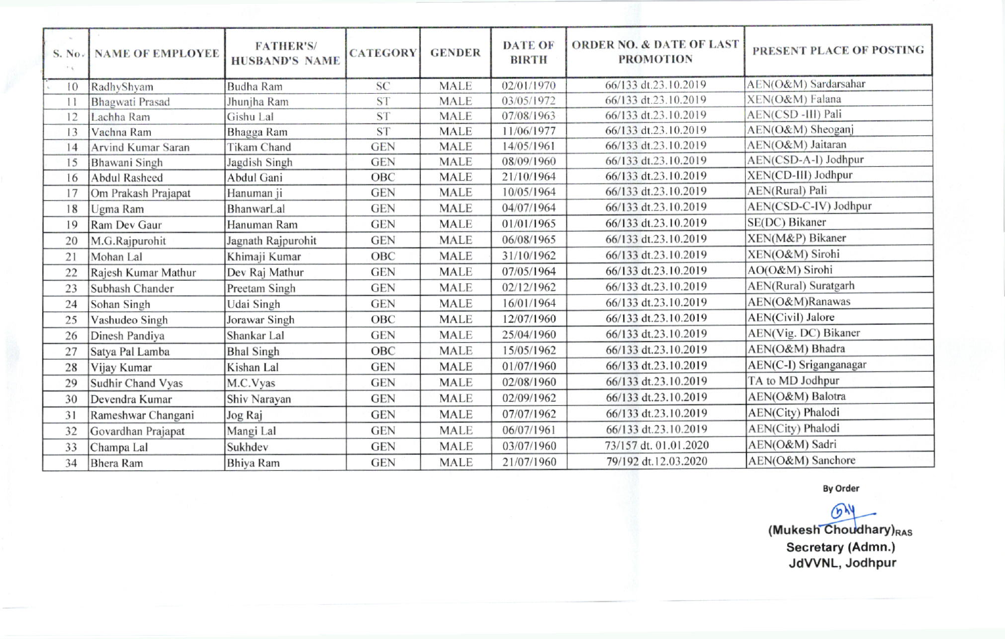| S. No.<br>$\mathcal{F} \in$ | <b>NAME OF EMPLOYEE</b> | <b>FATHER'S/</b><br><b>HUSBAND'S NAME</b> | <b>CATEGORY</b> | <b>GENDER</b> | <b>DATE OF</b><br><b>BIRTH</b> | <b>ORDER NO. &amp; DATE OF LAST</b><br><b>PROMOTION</b> | PRESENT PLACE OF POSTING |
|-----------------------------|-------------------------|-------------------------------------------|-----------------|---------------|--------------------------------|---------------------------------------------------------|--------------------------|
| 10                          | RadhyShyam              | <b>Budha Ram</b>                          | <b>SC</b>       | <b>MALE</b>   | 02/01/1970                     | 66/133 dt.23.10.2019                                    | AEN(O&M) Sardarsahar     |
| $\mathbf{1}$                | Bhagwati Prasad         | Jhunjha Ram                               | <b>ST</b>       | <b>MALE</b>   | 03/05/1972                     | 66/133 dt.23.10.2019                                    | XEN(O&M) Falana          |
| 12                          | Lachha Ram              | Gishu Lal                                 | <b>ST</b>       | <b>MALE</b>   | 07/08/1963                     | 66/133 dt.23.10.2019                                    | AEN(CSD-III) Pali        |
| 13                          | Vachna Ram              | Bhagga Ram                                | <b>ST</b>       | <b>MALE</b>   | 11/06/1977                     | 66/133 dt.23.10.2019                                    | AEN(O&M) Sheoganj        |
| 14                          | Arvind Kumar Saran      | Tikam Chand                               | <b>GEN</b>      | <b>MALE</b>   | 14/05/1961                     | 66/133 dt.23.10.2019                                    | AEN(O&M) Jaitaran        |
| 15                          | Bhawani Singh           | Jagdish Singh                             | <b>GEN</b>      | <b>MALE</b>   | 08/09/1960                     | 66/133 dt.23.10.2019                                    | AEN(CSD-A-I) Jodhpur     |
| 16                          | <b>Abdul Rasheed</b>    | Abdul Gani                                | OBC             | <b>MALE</b>   | 21/10/1964                     | 66/133 dt.23.10.2019                                    | XEN(CD-III) Jodhpur      |
| 17                          | Om Prakash Prajapat     | Hanuman ji                                | <b>GEN</b>      | <b>MALE</b>   | 10/05/1964                     | 66/133 dt.23.10.2019                                    | AEN(Rural) Pali          |
| 18                          | Ugma Ram                | BhanwarLal                                | <b>GEN</b>      | <b>MALE</b>   | 04/07/1964                     | 66/133 dt.23.10.2019                                    | AEN(CSD-C-IV) Jodhpur    |
| 19                          | Ram Dev Gaur            | Hanuman Ram                               | <b>GEN</b>      | <b>MALE</b>   | 01/01/1965                     | 66/133 dt.23.10.2019                                    | SE(DC) Bikaner           |
| 20                          | M.G.Rajpurohit          | Jagnath Rajpurohit                        | <b>GEN</b>      | <b>MALE</b>   | 06/08/1965                     | 66/133 dt.23.10.2019                                    | XEN(M&P) Bikaner         |
| 21                          | Mohan Lal               | Khimaji Kumar                             | OBC             | <b>MALE</b>   | 31/10/1962                     | 66/133 dt.23.10.2019                                    | XEN(O&M) Sirohi          |
| 22                          | Rajesh Kumar Mathur     | Dev Raj Mathur                            | <b>GEN</b>      | <b>MALE</b>   | 07/05/1964                     | 66/133 dt.23.10.2019                                    | AO(O&M) Sirohi           |
| 23                          | Subhash Chander         | Preetam Singh                             | <b>GEN</b>      | <b>MALE</b>   | 02/12/1962                     | 66/133 dt.23.10.2019                                    | AEN(Rural) Suratgarh     |
| 24                          | Sohan Singh             | Udai Singh                                | <b>GEN</b>      | <b>MALE</b>   | 16/01/1964                     | 66/133 dt.23.10.2019                                    | AEN(O&M)Ranawas          |
| 25                          | Vashudeo Singh          | Jorawar Singh                             | OBC             | <b>MALE</b>   | 12/07/1960                     | 66/133 dt.23.10.2019                                    | AEN(Civil) Jalore        |
| 26                          | Dinesh Pandiya          | Shankar Lal                               | <b>GEN</b>      | <b>MALE</b>   | 25/04/1960                     | 66/133 dt.23.10.2019                                    | AEN(Vig. DC) Bikaner     |
| 27                          | Satya Pal Lamba         | <b>Bhal Singh</b>                         | OBC             | <b>MALE</b>   | 15/05/1962                     | 66/133 dt.23.10.2019                                    | AEN(O&M) Bhadra          |
| 28                          | Vijay Kumar             | Kishan Lal                                | <b>GEN</b>      | <b>MALE</b>   | 01/07/1960                     | 66/133 dt.23.10.2019                                    | AEN(C-I) Sriganganagar   |
| 29                          | Sudhir Chand Vyas       | M.C.Vyas                                  | <b>GEN</b>      | <b>MALE</b>   | 02/08/1960                     | 66/133 dt.23.10.2019                                    | TA to MD Jodhpur         |
| 30                          | Devendra Kumar          | Shiv Narayan                              | <b>GEN</b>      | <b>MALE</b>   | 02/09/1962                     | 66/133 dt.23.10.2019                                    | AEN(O&M) Balotra         |
| 31                          | Rameshwar Changani      | Jog Raj                                   | <b>GEN</b>      | <b>MALE</b>   | 07/07/1962                     | 66/133 dt.23.10.2019                                    | AEN(City) Phalodi        |
| 32                          | Govardhan Prajapat      | Mangi Lal                                 | <b>GEN</b>      | <b>MALE</b>   | 06/07/1961                     | 66/133 dt.23.10.2019                                    | AEN(City) Phalodi        |
| 33                          | Champa Lal              | Sukhdev                                   | <b>GEN</b>      | <b>MALE</b>   | 03/07/1960                     | 73/157 dt. 01.01.2020                                   | AEN(O&M) Sadri           |
| 34                          | <b>Bhera</b> Ram        | <b>Bhiya Ram</b>                          | <b>GEN</b>      | <b>MALE</b>   | 21/07/1960                     | 79/192 dt.12.03.2020                                    | AEN(O&M) Sanchore        |

**By Order** 

 $64$ (Mukesh Choudhary)RAS Secretary (Admn.) JdVVNL, Jodhpur